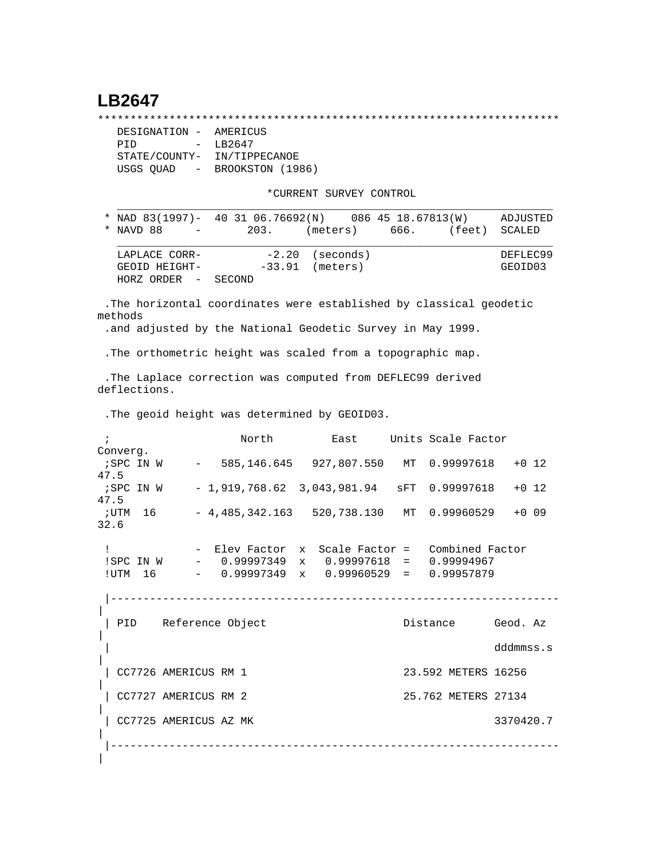## **LB2647**

\*\*\*\*\*\*\*\*\*\*\*\*\*\*\*\*\*\*\*\*\*\*\*\*\*\*\*\*\*\*\*\*\*\*\*\*\*\*\*\*\*\*\*\*\*\*\*\*\*\*\*\*\*\*\*\*\*\*\*\*\*\*\*\*\*\*\*\*\*\*\*

| DESIGNATION -           | AMERICUS         |
|-------------------------|------------------|
| PTD<br>$\sim$           | LB2647           |
| STATE/COUNTY-           | IN/TIPPECANOE    |
| USGS QUAD<br>$\sim$ $-$ | BROOKSTON (1986) |

\*CURRENT SURVEY CONTROL

| * NAD 83(1997)- 40 31 06.76692(N) 086 45 18.67813(W) |        |                   |        | ADJUSTED |
|------------------------------------------------------|--------|-------------------|--------|----------|
| * NAVD 88<br>$\sim$ 100 $\mu$                        | 203.   | $(meters)$ 666.   | (feet) | SCALED   |
|                                                      |        |                   |        |          |
| LAPLACE CORR-                                        |        | $-2.20$ (seconds) |        | DEFLEC99 |
| GEOID HEIGHT-                                        |        | $-33.91$ (meters) |        | GEOID03  |
| HORZ ORDER<br>$\sim$                                 | SECOND |                   |        |          |

 .The horizontal coordinates were established by classical geodetic methods

.and adjusted by the National Geodetic Survey in May 1999.

.The orthometric height was scaled from a topographic map.

 .The Laplace correction was computed from DEFLEC99 derived deflections.

.The geoid height was determined by GEOID03.

|            |                       | North                                                | East                           | Units Scale Factor  |           |         |
|------------|-----------------------|------------------------------------------------------|--------------------------------|---------------------|-----------|---------|
| Converg.   |                       |                                                      |                                |                     |           |         |
|            |                       | ; SPC IN W - 585, 146.645 927, 807.550 MT 0.99997618 |                                |                     |           | $+0$ 12 |
| 47.5       |                       |                                                      |                                |                     |           |         |
| ; SPC IN W |                       | $-1,919,768.62 \t3,043,981.94 \t sFT \t0.99997618$   |                                |                     |           | $+0$ 12 |
| 47.5       |                       |                                                      |                                |                     |           |         |
| ;UTM 16    |                       | $-4,485,342.163$ 520,738.130 MT 0.99960529           |                                |                     |           | $+0.09$ |
| 32.6       |                       |                                                      |                                |                     |           |         |
|            |                       |                                                      |                                |                     |           |         |
| L          |                       | - Elev Factor x                                      | Scale Factor = Combined Factor |                     |           |         |
| !SPC IN W  |                       | $-$ 0.99997349 x 0.99997618 = 0.99994967             |                                |                     |           |         |
| !UTM 16    |                       | $-$ 0.99997349 x 0.99960529 = 0.99957879             |                                |                     |           |         |
|            |                       |                                                      |                                |                     |           |         |
|            |                       |                                                      |                                |                     |           |         |
|            |                       |                                                      |                                |                     |           |         |
|            |                       | PID Reference Object                                 |                                | Distance            | Geod. Az  |         |
|            |                       |                                                      |                                |                     |           |         |
|            |                       |                                                      |                                |                     |           |         |
|            |                       |                                                      |                                |                     | dddmmss.s |         |
|            |                       |                                                      |                                |                     |           |         |
|            | CC7726 AMERICUS RM 1  |                                                      |                                | 23.592 METERS 16256 |           |         |
|            |                       |                                                      |                                |                     |           |         |
|            | CC7727 AMERICUS RM 2  |                                                      |                                | 25.762 METERS 27134 |           |         |
|            |                       |                                                      |                                |                     |           |         |
|            | CC7725 AMERICUS AZ MK |                                                      |                                |                     | 3370420.7 |         |
|            |                       |                                                      |                                |                     |           |         |
|            |                       |                                                      |                                |                     |           |         |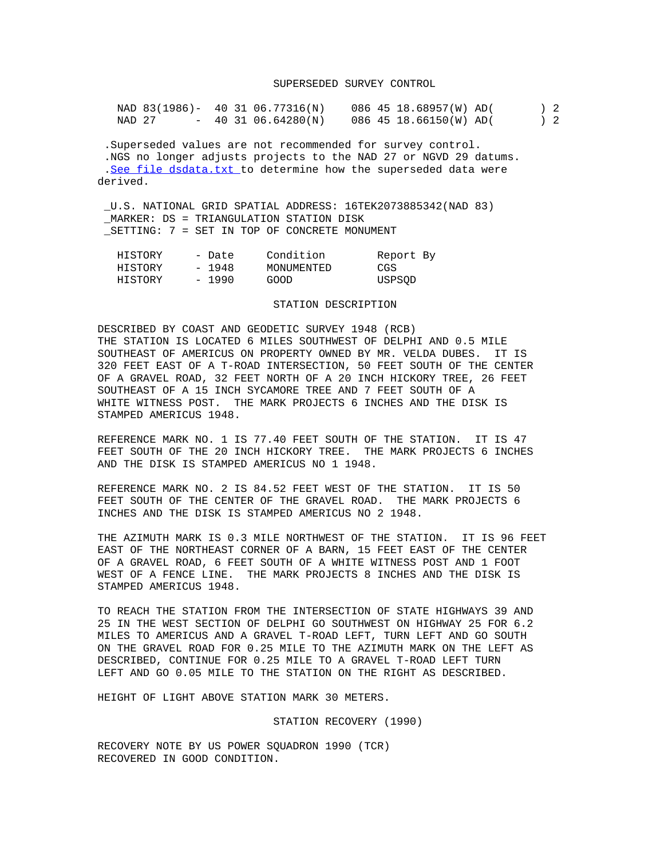## SUPERSEDED SURVEY CONTROL

|        |  | NAD 83(1986)- 40 31 06.77316(N) | 086 45 18.68957(W) AD( |  | 2 |
|--------|--|---------------------------------|------------------------|--|---|
| NAD 27 |  | $-403106.64280(N)$              | 086 45 18.66150(W) AD( |  | 2 |

 .Superseded values are not recommended for survey control. .NGS no longer adjusts projects to the NAD 27 or NGVD 29 datums. .[See file dsdata.txt](http://www.ngs.noaa.gov/cgi-bin/ds_lookup.prl?Item=HOW_SUP_DET) to determine how the superseded data were derived.

 \_U.S. NATIONAL GRID SPATIAL ADDRESS: 16TEK2073885342(NAD 83) \_MARKER: DS = TRIANGULATION STATION DISK \_SETTING: 7 = SET IN TOP OF CONCRETE MONUMENT

| HISTORY | - Date  | Condition  | Report By |  |
|---------|---------|------------|-----------|--|
| HISTORY | - 1948  | MONUMENTED | CGS       |  |
| HISTORY | $-1990$ | GOOD       | USPSOD    |  |

## STATION DESCRIPTION

DESCRIBED BY COAST AND GEODETIC SURVEY 1948 (RCB) THE STATION IS LOCATED 6 MILES SOUTHWEST OF DELPHI AND 0.5 MILE SOUTHEAST OF AMERICUS ON PROPERTY OWNED BY MR. VELDA DUBES. IT IS 320 FEET EAST OF A T-ROAD INTERSECTION, 50 FEET SOUTH OF THE CENTER OF A GRAVEL ROAD, 32 FEET NORTH OF A 20 INCH HICKORY TREE, 26 FEET SOUTHEAST OF A 15 INCH SYCAMORE TREE AND 7 FEET SOUTH OF A WHITE WITNESS POST. THE MARK PROJECTS 6 INCHES AND THE DISK IS STAMPED AMERICUS 1948.

REFERENCE MARK NO. 1 IS 77.40 FEET SOUTH OF THE STATION. IT IS 47 FEET SOUTH OF THE 20 INCH HICKORY TREE. THE MARK PROJECTS 6 INCHES AND THE DISK IS STAMPED AMERICUS NO 1 1948.

REFERENCE MARK NO. 2 IS 84.52 FEET WEST OF THE STATION. IT IS 50 FEET SOUTH OF THE CENTER OF THE GRAVEL ROAD. THE MARK PROJECTS 6 INCHES AND THE DISK IS STAMPED AMERICUS NO 2 1948.

THE AZIMUTH MARK IS 0.3 MILE NORTHWEST OF THE STATION. IT IS 96 FEET EAST OF THE NORTHEAST CORNER OF A BARN, 15 FEET EAST OF THE CENTER OF A GRAVEL ROAD, 6 FEET SOUTH OF A WHITE WITNESS POST AND 1 FOOT WEST OF A FENCE LINE. THE MARK PROJECTS 8 INCHES AND THE DISK IS STAMPED AMERICUS 1948.

TO REACH THE STATION FROM THE INTERSECTION OF STATE HIGHWAYS 39 AND 25 IN THE WEST SECTION OF DELPHI GO SOUTHWEST ON HIGHWAY 25 FOR 6.2 MILES TO AMERICUS AND A GRAVEL T-ROAD LEFT, TURN LEFT AND GO SOUTH ON THE GRAVEL ROAD FOR 0.25 MILE TO THE AZIMUTH MARK ON THE LEFT AS DESCRIBED, CONTINUE FOR 0.25 MILE TO A GRAVEL T-ROAD LEFT TURN LEFT AND GO 0.05 MILE TO THE STATION ON THE RIGHT AS DESCRIBED.

HEIGHT OF LIGHT ABOVE STATION MARK 30 METERS.

STATION RECOVERY (1990)

RECOVERY NOTE BY US POWER SQUADRON 1990 (TCR) RECOVERED IN GOOD CONDITION.